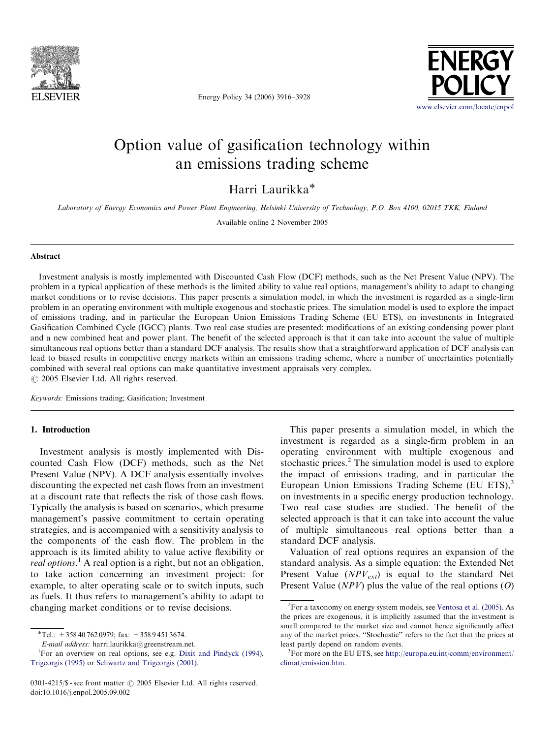

Energy Policy 34 (2006) 3916–3928



## Option value of gasification technology within an emissions trading scheme

Harri Laurikka

Laboratory of Energy Economics and Power Plant Engineering, Helsinki University of Technology, P.O. Box 4100, 02015 TKK, Finland

Available online 2 November 2005

### Abstract

Investment analysis is mostly implemented with Discounted Cash Flow (DCF) methods, such as the Net Present Value (NPV). The problem in a typical application of these methods is the limited ability to value real options, management's ability to adapt to changing market conditions or to revise decisions. This paper presents a simulation model, in which the investment is regarded as a single-firm problem in an operating environment with multiple exogenous and stochastic prices. The simulation model is used to explore the impact of emissions trading, and in particular the European Union Emissions Trading Scheme (EU ETS), on investments in Integrated Gasification Combined Cycle (IGCC) plants. Two real case studies are presented: modifications of an existing condensing power plant and a new combined heat and power plant. The benefit of the selected approach is that it can take into account the value of multiple simultaneous real options better than a standard DCF analysis. The results show that a straightforward application of DCF analysis can lead to biased results in competitive energy markets within an emissions trading scheme, where a number of uncertainties potentially combined with several real options can make quantitative investment appraisals very complex.  $\odot$  2005 Elsevier Ltd. All rights reserved.

Keywords: Emissions trading; Gasification; Investment

#### 1. Introduction

Investment analysis is mostly implemented with Discounted Cash Flow (DCF) methods, such as the Net Present Value (NPV). A DCF analysis essentially involves discounting the expected net cash flows from an investment at a discount rate that reflects the risk of those cash flows. Typically the analysis is based on scenarios, which presume management's passive commitment to certain operating strategies, and is accompanied with a sensitivity analysis to the components of the cash flow. The problem in the approach is its limited ability to value active flexibility or real options.<sup>1</sup> A real option is a right, but not an obligation, to take action concerning an investment project: for example, to alter operating scale or to switch inputs, such as fuels. It thus refers to management's ability to adapt to changing market conditions or to revise decisions.

E-mail address: harri.laurikka@greenstream.net. <sup>1</sup>

This paper presents a simulation model, in which the investment is regarded as a single-firm problem in an operating environment with multiple exogenous and stochastic prices.<sup>2</sup> The simulation model is used to explore the impact of emissions trading, and in particular the European Union Emissions Trading Scheme (EU ETS), $3$ on investments in a specific energy production technology. Two real case studies are studied. The benefit of the selected approach is that it can take into account the value of multiple simultaneous real options better than a standard DCF analysis.

Valuation of real options requires an expansion of the standard analysis. As a simple equation: the Extended Net Present Value  $(NPV_{ext})$  is equal to the standard Net Present Value ( $NPV$ ) plus the value of the real options (O)

 $*$ Tel.: +358 40 762 0979; fax: +358 9 451 3674.

For an overview on real options, see e.g. [Dixit and Pindyck \(1994\),](#page--1-0) [Trigeorgis \(1995\)](#page--1-0) or [Schwartz and Trigeorgis \(2001\).](#page--1-0)

<sup>0301-4215/</sup> $\$  - see front matter  $\circ$  2005 Elsevier Ltd. All rights reserved. doi:10.1016/j.enpol.2005.09.002

<sup>&</sup>lt;sup>2</sup>For a taxonomy on energy system models, see [Ventosa et al. \(2005\)](#page--1-0). As the prices are exogenous, it is implicitly assumed that the investment is small compared to the market size and cannot hence significantly affect any of the market prices. ''Stochastic'' refers to the fact that the prices at least partly depend on random events.

 ${}^{3}$ For more on the EU ETS, see [http://europa.eu.int/comm/environment/](http://europa.eu.int/comm/environment/climat/emission.htm) [climat/emission.htm](http://europa.eu.int/comm/environment/climat/emission.htm).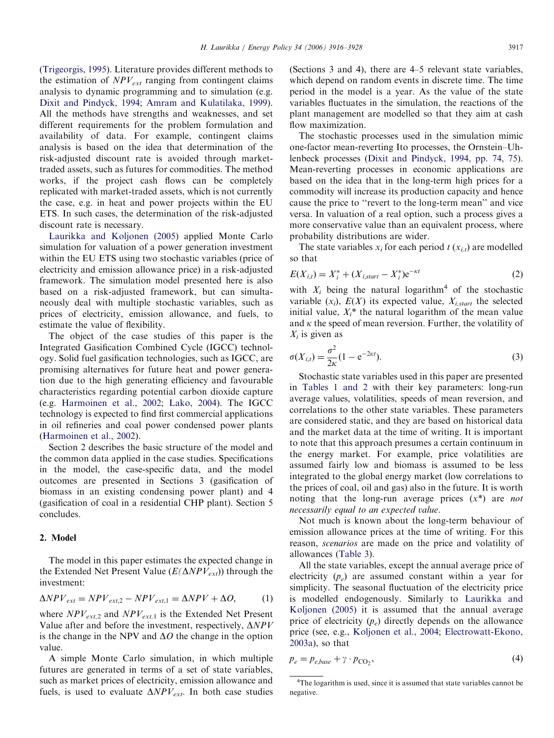([Trigeorgis, 1995](#page--1-0)). Literature provides different methods to the estimation of  $NPV_{ext}$  ranging from contingent claims analysis to dynamic programming and to simulation (e.g. [Dixit and Pindyck, 1994;](#page--1-0) [Amram and Kulatilaka, 1999\)](#page--1-0). All the methods have strengths and weaknesses, and set different requirements for the problem formulation and availability of data. For example, contingent claims analysis is based on the idea that determination of the risk-adjusted discount rate is avoided through markettraded assets, such as futures for commodities. The method works, if the project cash flows can be completely replicated with market-traded assets, which is not currently the case, e.g. in heat and power projects within the EU ETS. In such cases, the determination of the risk-adjusted discount rate is necessary.

[Laurikka and Koljonen \(2005\)](#page--1-0) applied Monte Carlo simulation for valuation of a power generation investment within the EU ETS using two stochastic variables (price of electricity and emission allowance price) in a risk-adjusted framework. The simulation model presented here is also based on a risk-adjusted framework, but can simultaneously deal with multiple stochastic variables, such as prices of electricity, emission allowance, and fuels, to estimate the value of flexibility.

The object of the case studies of this paper is the Integrated Gasification Combined Cycle (IGCC) technology. Solid fuel gasification technologies, such as IGCC, are promising alternatives for future heat and power generation due to the high generating efficiency and favourable characteristics regarding potential carbon dioxide capture (e.g. [Harmoinen et al., 2002](#page--1-0); [Lako, 2004](#page--1-0)). The IGCC technology is expected to find first commercial applications in oil refineries and coal power condensed power plants ([Harmoinen et al., 2002](#page--1-0)).

Section 2 describes the basic structure of the model and the common data applied in the case studies. Specifications in the model, the case-specific data, and the model outcomes are presented in Sections 3 (gasification of biomass in an existing condensing power plant) and 4 (gasification of coal in a residential CHP plant). Section 5 concludes.

#### 2. Model

The model in this paper estimates the expected change in the Extended Net Present Value ( $E(\Delta NPV_{ext})$ ) through the investment:

$$
\Delta NPV_{ext} = NPV_{ext,2} - NPV_{ext,1} = \Delta NPV + \Delta O, \tag{1}
$$

where  $NPV_{ext,2}$  and  $NPV_{ext,1}$  is the Extended Net Present Value after and before the investment, respectively,  $\Delta NPV$ is the change in the NPV and  $\Delta O$  the change in the option value.

A simple Monte Carlo simulation, in which multiple futures are generated in terms of a set of state variables, such as market prices of electricity, emission allowance and fuels, is used to evaluate  $\Delta NPV_{ext}$ . In both case studies (Sections 3 and 4), there are 4–5 relevant state variables, which depend on random events in discrete time. The time period in the model is a year. As the value of the state variables fluctuates in the simulation, the reactions of the plant management are modelled so that they aim at cash flow maximization.

The stochastic processes used in the simulation mimic one-factor mean-reverting Ito processes, the Ornstein–Uhlenbeck processes ([Dixit and Pindyck, 1994, pp. 74, 75\)](#page--1-0). Mean-reverting processes in economic applications are based on the idea that in the long-term high prices for a commodity will increase its production capacity and hence cause the price to ''revert to the long-term mean'' and vice versa. In valuation of a real option, such a process gives a more conservative value than an equivalent process, where probability distributions are wider.

The state variables  $x_i$  for each period  $t(x_i)$  are modelled so that

$$
E(X_{i,t}) = X_i^* + (X_{i,start} - X_i^*)e^{-\kappa t}
$$
 (2)

with  $X_i$  being the natural logarithm<sup>4</sup> of the stochastic variable  $(x_i)$ ,  $E(X)$  its expected value,  $X_{i,start}$  the selected initial value,  $X_i^*$  the natural logarithm of the mean value and  $\kappa$  the speed of mean reversion. Further, the volatility of  $X_i$  is given as

$$
\sigma(X_{i,t}) = \frac{\sigma^2}{2\kappa} (1 - e^{-2\kappa t}).
$$
\n(3)

Stochastic state variables used in this paper are presented in [Tables 1 and 2](#page--1-0) with their key parameters: long-run average values, volatilities, speeds of mean reversion, and correlations to the other state variables. These parameters are considered static, and they are based on historical data and the market data at the time of writing. It is important to note that this approach presumes a certain continuum in the energy market. For example, price volatilities are assumed fairly low and biomass is assumed to be less integrated to the global energy market (low correlations to the prices of coal, oil and gas) also in the future. It is worth noting that the long-run average prices  $(x^*)$  are *not* necessarily equal to an expected value.

Not much is known about the long-term behaviour of emission allowance prices at the time of writing. For this reason, scenarios are made on the price and volatility of allowances [\(Table 3\)](#page--1-0).

All the state variables, except the annual average price of electricity  $(p_e)$  are assumed constant within a year for simplicity. The seasonal fluctuation of the electricity price is modelled endogenously. Similarly to [Laurikka and](#page--1-0) [Koljonen \(2005\)](#page--1-0) it is assumed that the annual average price of electricity  $(p_e)$  directly depends on the allowance price (see, e.g., [Koljonen et al., 2004;](#page--1-0) [Electrowatt-Ekono,](#page--1-0) [2003a](#page--1-0)), so that

$$
p_e = p_{e,base} + \gamma \cdot p_{\text{CO}_2},\tag{4}
$$

<sup>&</sup>lt;sup>4</sup>The logarithm is used, since it is assumed that state variables cannot be negative.